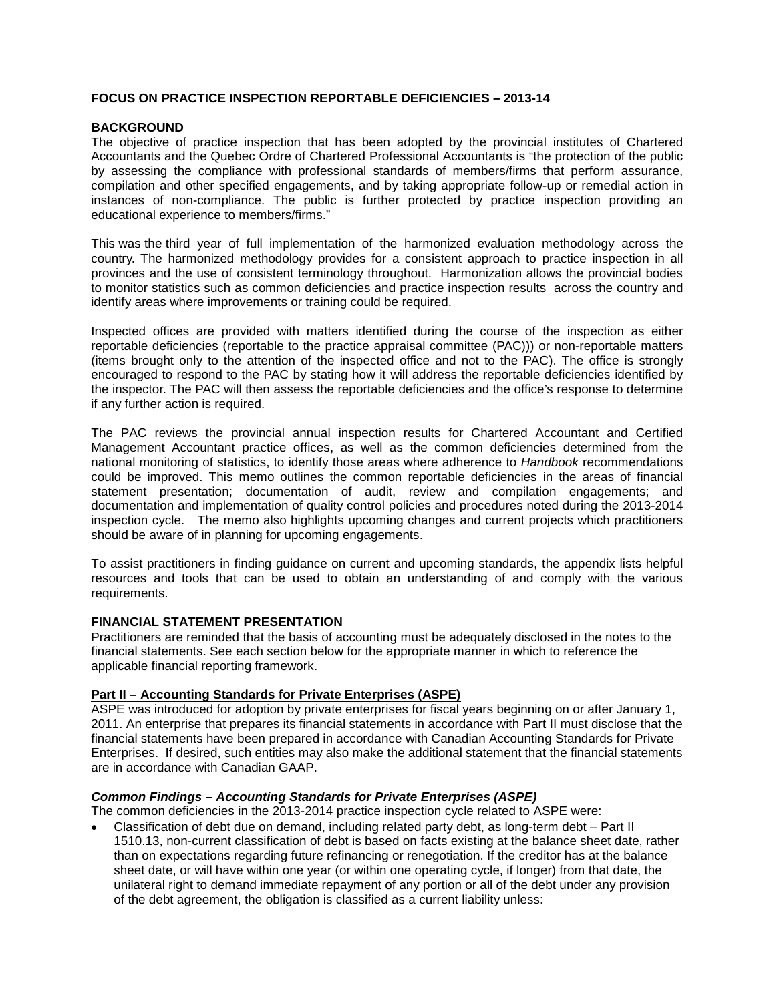# **FOCUS ON PRACTICE INSPECTION REPORTABLE DEFICIENCIES – 2013-14**

## **BACKGROUND**

The objective of practice inspection that has been adopted by the provincial institutes of Chartered Accountants and the Quebec Ordre of Chartered Professional Accountants is "the protection of the public by assessing the compliance with professional standards of members/firms that perform assurance, compilation and other specified engagements, and by taking appropriate follow-up or remedial action in instances of non-compliance. The public is further protected by practice inspection providing an educational experience to members/firms."

This was the third year of full implementation of the harmonized evaluation methodology across the country. The harmonized methodology provides for a consistent approach to practice inspection in all provinces and the use of consistent terminology throughout. Harmonization allows the provincial bodies to monitor statistics such as common deficiencies and practice inspection results across the country and identify areas where improvements or training could be required.

Inspected offices are provided with matters identified during the course of the inspection as either reportable deficiencies (reportable to the practice appraisal committee (PAC))) or non-reportable matters (items brought only to the attention of the inspected office and not to the PAC). The office is strongly encouraged to respond to the PAC by stating how it will address the reportable deficiencies identified by the inspector. The PAC will then assess the reportable deficiencies and the office's response to determine if any further action is required.

The PAC reviews the provincial annual inspection results for Chartered Accountant and Certified Management Accountant practice offices, as well as the common deficiencies determined from the national monitoring of statistics, to identify those areas where adherence to *Handbook* recommendations could be improved. This memo outlines the common reportable deficiencies in the areas of financial statement presentation; documentation of audit, review and compilation engagements; and documentation and implementation of quality control policies and procedures noted during the 2013-2014 inspection cycle. The memo also highlights upcoming changes and current projects which practitioners should be aware of in planning for upcoming engagements.

To assist practitioners in finding guidance on current and upcoming standards, the appendix lists helpful resources and tools that can be used to obtain an understanding of and comply with the various requirements.

## **FINANCIAL STATEMENT PRESENTATION**

Practitioners are reminded that the basis of accounting must be adequately disclosed in the notes to the financial statements. See each section below for the appropriate manner in which to reference the applicable financial reporting framework.

# **Part II – Accounting Standards for Private Enterprises (ASPE)**

ASPE was introduced for adoption by private enterprises for fiscal years beginning on or after January 1, 2011. An enterprise that prepares its financial statements in accordance with Part II must disclose that the financial statements have been prepared in accordance with Canadian Accounting Standards for Private Enterprises. If desired, such entities may also make the additional statement that the financial statements are in accordance with Canadian GAAP.

## *Common Findings – Accounting Standards for Private Enterprises (ASPE)*

The common deficiencies in the 2013-2014 practice inspection cycle related to ASPE were:

• Classification of debt due on demand, including related party debt, as long-term debt – Part II 1510.13, non-current classification of debt is based on facts existing at the balance sheet date, rather than on expectations regarding future refinancing or renegotiation. If the creditor has at the balance sheet date, or will have within one year (or within one operating cycle, if longer) from that date, the unilateral right to demand immediate repayment of any portion or all of the debt under any provision of the debt agreement, the obligation is classified as a current liability unless: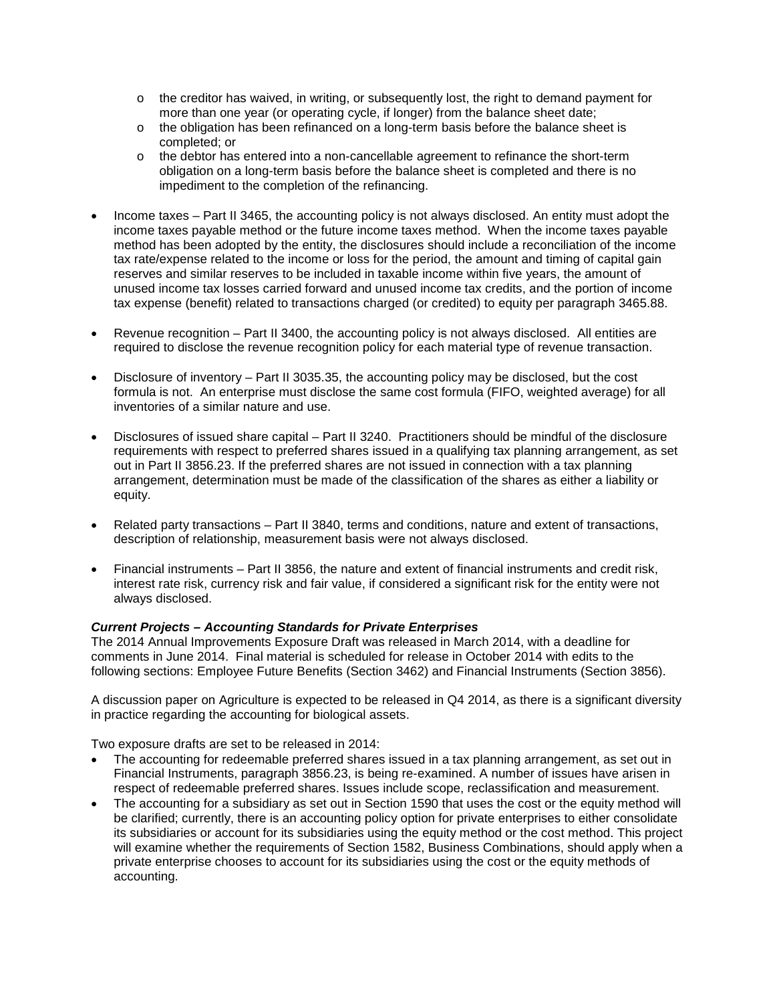- o the creditor has waived, in writing, or subsequently lost, the right to demand payment for more than one year (or operating cycle, if longer) from the balance sheet date;
- o the obligation has been refinanced on a long-term basis before the balance sheet is completed; or
- $\circ$  the debtor has entered into a non-cancellable agreement to refinance the short-term obligation on a long-term basis before the balance sheet is completed and there is no impediment to the completion of the refinancing.
- Income taxes Part II 3465, the accounting policy is not always disclosed. An entity must adopt the income taxes payable method or the future income taxes method. When the income taxes payable method has been adopted by the entity, the disclosures should include a reconciliation of the income tax rate/expense related to the income or loss for the period, the amount and timing of capital gain reserves and similar reserves to be included in taxable income within five years, the amount of unused income tax losses carried forward and unused income tax credits, and the portion of income tax expense (benefit) related to transactions charged (or credited) to equity per paragraph 3465.88.
- Revenue recognition Part II 3400, the accounting policy is not always disclosed. All entities are required to disclose the revenue recognition policy for each material type of revenue transaction.
- Disclosure of inventory Part II 3035.35, the accounting policy may be disclosed, but the cost formula is not. An enterprise must disclose the same cost formula (FIFO, weighted average) for all inventories of a similar nature and use.
- Disclosures of issued share capital Part II 3240. Practitioners should be mindful of the disclosure requirements with respect to preferred shares issued in a qualifying tax planning arrangement, as set out in Part II 3856.23. If the preferred shares are not issued in connection with a tax planning arrangement, determination must be made of the classification of the shares as either a liability or equity.
- Related party transactions Part II 3840, terms and conditions, nature and extent of transactions, description of relationship, measurement basis were not always disclosed.
- Financial instruments Part II 3856, the nature and extent of financial instruments and credit risk, interest rate risk, currency risk and fair value, if considered a significant risk for the entity were not always disclosed.

## *Current Projects – Accounting Standards for Private Enterprises*

The 2014 Annual Improvements Exposure Draft was released in March 2014, with a deadline for comments in June 2014. Final material is scheduled for release in October 2014 with edits to the following sections: Employee Future Benefits (Section 3462) and Financial Instruments (Section 3856).

A discussion paper on Agriculture is expected to be released in Q4 2014, as there is a significant diversity in practice regarding the accounting for biological assets.

Two exposure drafts are set to be released in 2014:

- The accounting for redeemable preferred shares issued in a tax planning arrangement, as set out in Financial Instruments, paragraph 3856.23, is being re-examined. A number of issues have arisen in respect of redeemable preferred shares. Issues include scope, reclassification and measurement.
- The accounting for a subsidiary as set out in Section 1590 that uses the cost or the equity method will be clarified; currently, there is an accounting policy option for private enterprises to either consolidate its subsidiaries or account for its subsidiaries using the equity method or the cost method. This project will examine whether the requirements of Section 1582, Business Combinations, should apply when a private enterprise chooses to account for its subsidiaries using the cost or the equity methods of accounting.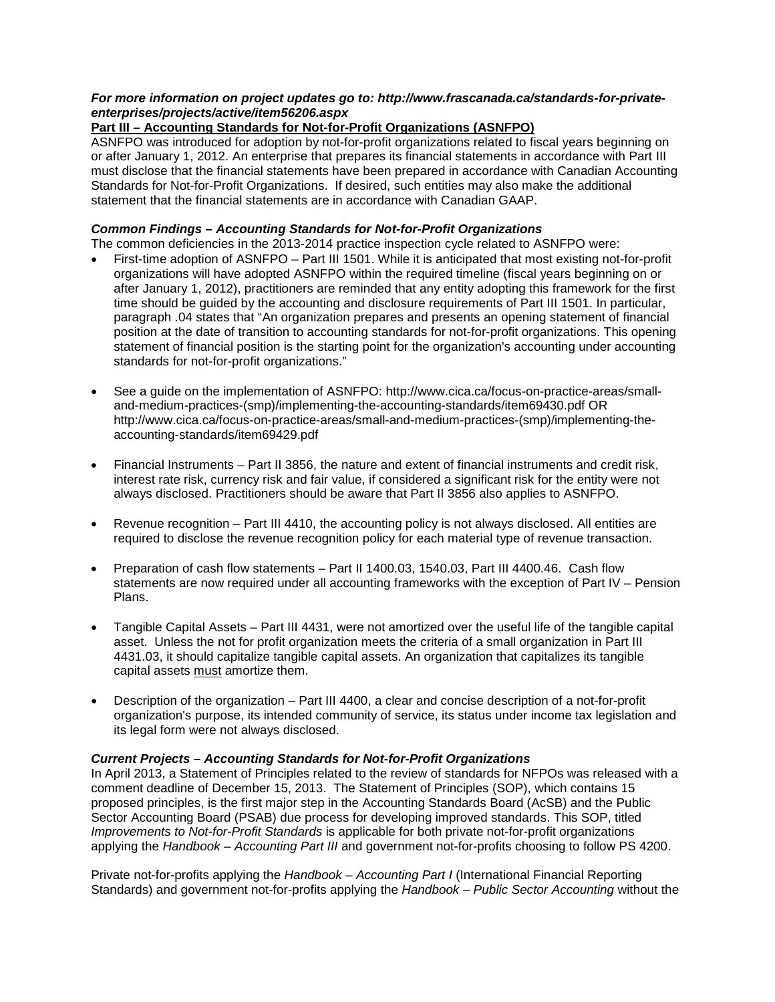# *For more information on project updates go to: [http://www.frascanada.ca/standards-for-private](http://www.frascanada.ca/standards-for-private-enterprises/projects/active/item56206.aspx)[enterprises/projects/active/item56206.aspx](http://www.frascanada.ca/standards-for-private-enterprises/projects/active/item56206.aspx)*

# **Part III – Accounting Standards for Not-for-Profit Organizations (ASNFPO)**

ASNFPO was introduced for adoption by not-for-profit organizations related to fiscal years beginning on or after January 1, 2012. An enterprise that prepares its financial statements in accordance with Part III must disclose that the financial statements have been prepared in accordance with Canadian Accounting Standards for Not-for-Profit Organizations. If desired, such entities may also make the additional statement that the financial statements are in accordance with Canadian GAAP.

# *Common Findings – Accounting Standards for Not-for-Profit Organizations*

The common deficiencies in the 2013-2014 practice inspection cycle related to ASNFPO were:

- First-time adoption of ASNFPO Part III 1501. While it is anticipated that most existing not-for-profit organizations will have adopted ASNFPO within the required timeline (fiscal years beginning on or after January 1, 2012), practitioners are reminded that any entity adopting this framework for the first time should be guided by the accounting and disclosure requirements of Part III 1501. In particular, paragraph .04 states that "An organization prepares and presents an opening statement of financial position at the date of transition to accounting standards for not-for-profit organizations. This opening statement of financial position is the starting point for the organization's accounting under accounting standards for not-for-profit organizations."
- See a guide on the implementation of ASNFPO: [http://www.cica.ca/focus-on-practice-areas/small](http://www.cica.ca/focus-on-practice-areas/small-and-medium-practices-(smp)/implementing-the-accounting-standards/item69430.pdf)[and-medium-practices-\(smp\)/implementing-the-accounting-standards/item69430.pdf](http://www.cica.ca/focus-on-practice-areas/small-and-medium-practices-(smp)/implementing-the-accounting-standards/item69430.pdf) OR http://www.cica.ca/focus-on-practice-areas/small-and-medium-practices-(smp)/implementing-theaccounting-standards/item69429.pdf
- Financial Instruments Part II 3856, the nature and extent of financial instruments and credit risk, interest rate risk, currency risk and fair value, if considered a significant risk for the entity were not always disclosed. Practitioners should be aware that Part II 3856 also applies to ASNFPO.
- Revenue recognition Part III 4410, the accounting policy is not always disclosed. All entities are required to disclose the revenue recognition policy for each material type of revenue transaction.
- Preparation of cash flow statements Part II 1400.03, 1540.03, Part III 4400.46. Cash flow statements are now required under all accounting frameworks with the exception of Part IV – Pension Plans.
- Tangible Capital Assets Part III 4431, were not amortized over the useful life of the tangible capital asset. Unless the not for profit organization meets the criteria of a small organization in Part III 4431.03, it should capitalize tangible capital assets. An organization that capitalizes its tangible capital assets must amortize them.
- Description of the organization Part III 4400, a clear and concise description of a not-for-profit organization's purpose, its intended community of service, its status under income tax legislation and its legal form were not always disclosed.

# *Current Projects – Accounting Standards for Not-for-Profit Organizations*

In April 2013, a Statement of Principles related to the review of standards for NFPOs was released with a comment deadline of December 15, 2013. The Statement of Principles (SOP), which contains 15 proposed principles, is the first major step in the Accounting Standards Board (AcSB) and the Public Sector Accounting Board (PSAB) due process for developing improved standards. This SOP, titled *Improvements to Not-for-Profit Standards* is applicable for both private not-for-profit organizations applying the *Handbook – Accounting Part III* and government not-for-profits choosing to follow PS 4200.

Private not-for-profits applying the *Handbook – Accounting Part I* (International Financial Reporting Standards) and government not-for-profits applying the *Handbook – Public Sector Accounting* without the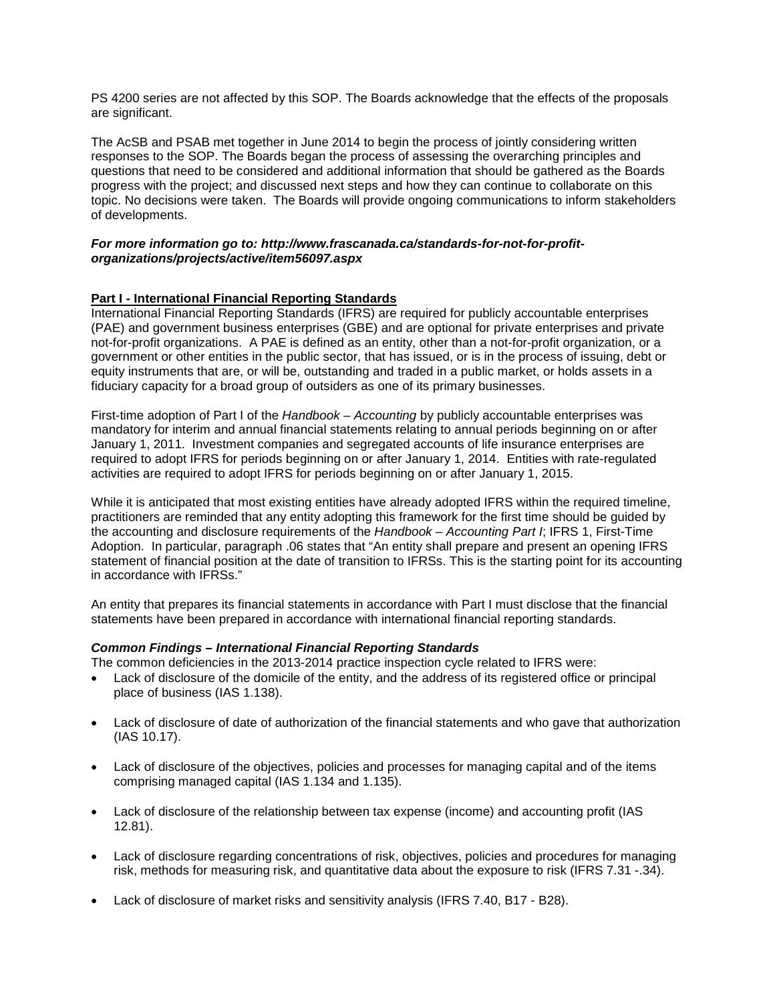PS 4200 series are not affected by this SOP. The Boards acknowledge that the effects of the proposals are significant.

The AcSB and PSAB met together in June 2014 to begin the process of jointly considering written responses to the SOP. The Boards began the process of assessing the overarching principles and questions that need to be considered and additional information that should be gathered as the Boards progress with the project; and discussed next steps and how they can continue to collaborate on this topic. No decisions were taken. The Boards will provide ongoing communications to inform stakeholders of developments.

## *For more information go to: http://www.frascanada.ca/standards-for-not-for-profitorganizations/projects/active/item56097.aspx*

# **Part I - International Financial Reporting Standards**

International Financial Reporting Standards (IFRS) are required for publicly accountable enterprises (PAE) and government business enterprises (GBE) and are optional for private enterprises and private not-for-profit organizations. A PAE is defined as an entity, other than a not-for-profit organization, or a government or other entities in the public sector, that has issued, or is in the process of issuing, debt or equity instruments that are, or will be, outstanding and traded in a public market, or holds assets in a fiduciary capacity for a broad group of outsiders as one of its primary businesses.

First-time adoption of Part I of the *Handbook – Accounting* by publicly accountable enterprises was mandatory for interim and annual financial statements relating to annual periods beginning on or after January 1, 2011. Investment companies and segregated accounts of life insurance enterprises are required to adopt IFRS for periods beginning on or after January 1, 2014. Entities with rate-regulated activities are required to adopt IFRS for periods beginning on or after January 1, 2015.

While it is anticipated that most existing entities have already adopted IFRS within the required timeline, practitioners are reminded that any entity adopting this framework for the first time should be guided by the accounting and disclosure requirements of the *Handbook – Accounting Part I*; IFRS 1, First-Time Adoption. In particular, paragraph .06 states that "An entity shall prepare and present an opening IFRS statement of financial position at the date of transition to IFRSs. This is the starting point for its accounting in accordance with IFRSs."

An entity that prepares its financial statements in accordance with Part I must disclose that the financial statements have been prepared in accordance with international financial reporting standards.

## *Common Findings – International Financial Reporting Standards*

The common deficiencies in the 2013-2014 practice inspection cycle related to IFRS were:

- Lack of disclosure of the domicile of the entity, and the address of its registered office or principal place of business (IAS 1.138).
- Lack of disclosure of date of authorization of the financial statements and who gave that authorization (IAS 10.17).
- Lack of disclosure of the objectives, policies and processes for managing capital and of the items comprising managed capital (IAS 1.134 and 1.135).
- Lack of disclosure of the relationship between tax expense (income) and accounting profit (IAS 12.81).
- Lack of disclosure regarding concentrations of risk, objectives, policies and procedures for managing risk, methods for measuring risk, and quantitative data about the exposure to risk (IFRS 7.31 -.34).
- Lack of disclosure of market risks and sensitivity analysis (IFRS 7.40, B17 B28).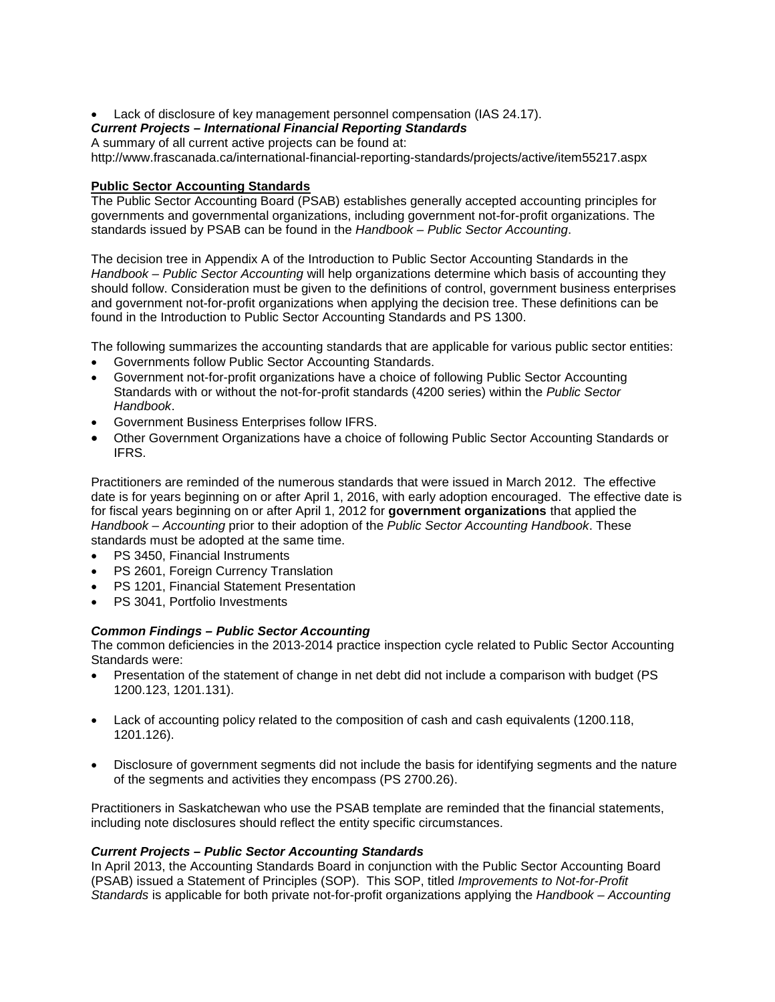• Lack of disclosure of key management personnel compensation (IAS 24.17).

# *Current Projects – International Financial Reporting Standards*

A summary of all current active projects can be found at:

<http://www.frascanada.ca/international-financial-reporting-standards/projects/active/item55217.aspx>

## **Public Sector Accounting Standards**

The Public Sector Accounting Board (PSAB) establishes generally accepted accounting principles for governments and governmental organizations, including government not-for-profit organizations. The standards issued by PSAB can be found in the *Handbook – Public Sector Accounting*.

The decision tree in Appendix A of the Introduction to Public Sector Accounting Standards in the *Handbook – Public Sector Accounting* will help organizations determine which basis of accounting they should follow. Consideration must be given to the definitions of control, government business enterprises and government not-for-profit organizations when applying the decision tree. These definitions can be found in the Introduction to Public Sector Accounting Standards and PS 1300.

The following summarizes the accounting standards that are applicable for various public sector entities:

- Governments follow Public Sector Accounting Standards.
- Government not-for-profit organizations have a choice of following Public Sector Accounting Standards with or without the not-for-profit standards (4200 series) within the *Public Sector Handbook*.
- Government Business Enterprises follow IFRS.
- Other Government Organizations have a choice of following Public Sector Accounting Standards or IFRS.

Practitioners are reminded of the numerous standards that were issued in March 2012. The effective date is for years beginning on or after April 1, 2016, with early adoption encouraged. The effective date is for fiscal years beginning on or after April 1, 2012 for **government organizations** that applied the *Handbook – Accounting* prior to their adoption of the *Public Sector Accounting Handbook*. These standards must be adopted at the same time.

- PS 3450, Financial Instruments
- **PS 2601, Foreign Currency Translation**
- PS 1201, Financial Statement Presentation
- PS 3041, Portfolio Investments

## *Common Findings – Public Sector Accounting*

The common deficiencies in the 2013-2014 practice inspection cycle related to Public Sector Accounting Standards were:

- Presentation of the statement of change in net debt did not include a comparison with budget (PS 1200.123, 1201.131).
- Lack of accounting policy related to the composition of cash and cash equivalents (1200.118, 1201.126).
- Disclosure of government segments did not include the basis for identifying segments and the nature of the segments and activities they encompass (PS 2700.26).

Practitioners in Saskatchewan who use the PSAB template are reminded that the financial statements, including note disclosures should reflect the entity specific circumstances.

# *Current Projects – Public Sector Accounting Standards*

In April 2013, the Accounting Standards Board in conjunction with the Public Sector Accounting Board (PSAB) issued a Statement of Principles (SOP). This SOP, titled *Improvements to Not-for-Profit Standards* is applicable for both private not-for-profit organizations applying the *Handbook – Accounting*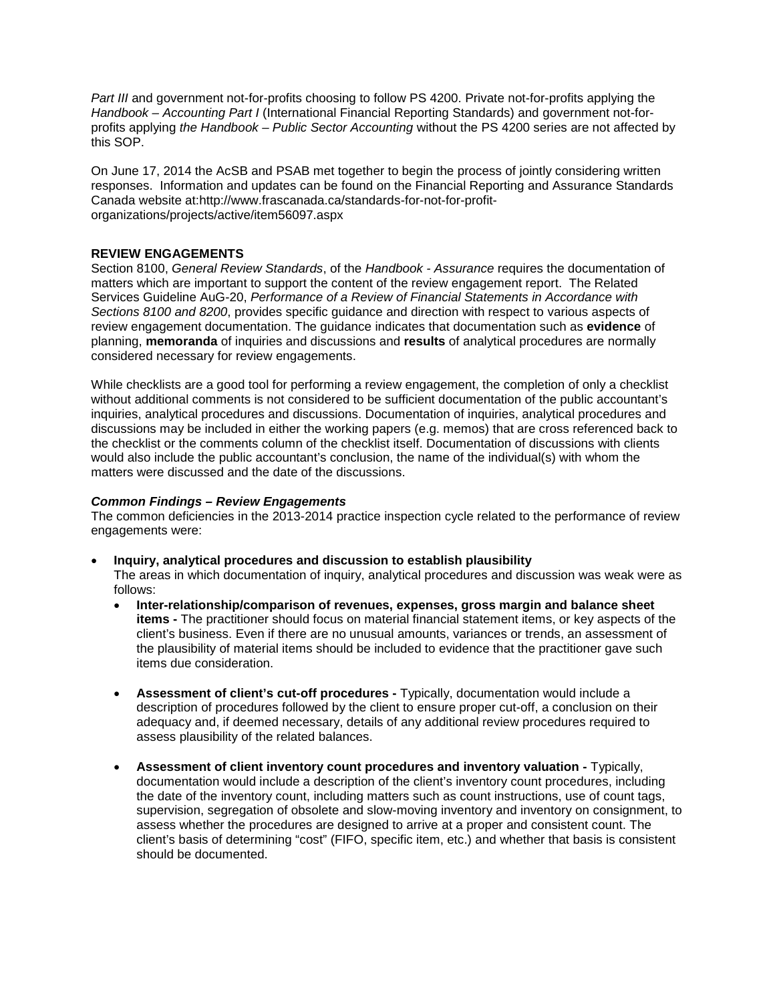Part III and government not-for-profits choosing to follow PS 4200. Private not-for-profits applying the *Handbook – Accounting Part I* (International Financial Reporting Standards) and government not-forprofits applying *the Handbook – Public Sector Accounting* without the PS 4200 series are not affected by this SOP.

On June 17, 2014 the AcSB and PSAB met together to begin the process of jointly considering written responses. Information and updates can be found on the Financial Reporting and Assurance Standards Canada website at[:http://www.frascanada.ca/standards-for-not-for-profit](http://www.frascanada.ca/standards-for-not-for-profit-organizations/projects/active/item56097.aspx)[organizations/projects/active/item56097.aspx](http://www.frascanada.ca/standards-for-not-for-profit-organizations/projects/active/item56097.aspx)

# **REVIEW ENGAGEMENTS**

Section 8100, *General Review Standards*, of the *Handbook - Assurance* requires the documentation of matters which are important to support the content of the review engagement report. The Related Services Guideline AuG-20, *Performance of a Review of Financial Statements in Accordance with Sections 8100 and 8200*, provides specific guidance and direction with respect to various aspects of review engagement documentation. The guidance indicates that documentation such as **evidence** of planning, **memoranda** of inquiries and discussions and **results** of analytical procedures are normally considered necessary for review engagements.

While checklists are a good tool for performing a review engagement, the completion of only a checklist without additional comments is not considered to be sufficient documentation of the public accountant's inquiries, analytical procedures and discussions. Documentation of inquiries, analytical procedures and discussions may be included in either the working papers (e.g. memos) that are cross referenced back to the checklist or the comments column of the checklist itself. Documentation of discussions with clients would also include the public accountant's conclusion, the name of the individual(s) with whom the matters were discussed and the date of the discussions.

## *Common Findings – Review Engagements*

The common deficiencies in the 2013-2014 practice inspection cycle related to the performance of review engagements were:

## • **Inquiry, analytical procedures and discussion to establish plausibility**

The areas in which documentation of inquiry, analytical procedures and discussion was weak were as follows:

- **Inter-relationship/comparison of revenues, expenses, gross margin and balance sheet items -** The practitioner should focus on material financial statement items, or key aspects of the client's business. Even if there are no unusual amounts, variances or trends, an assessment of the plausibility of material items should be included to evidence that the practitioner gave such items due consideration.
- **Assessment of client's cut-off procedures -** Typically, documentation would include a description of procedures followed by the client to ensure proper cut-off, a conclusion on their adequacy and, if deemed necessary, details of any additional review procedures required to assess plausibility of the related balances.
- **Assessment of client inventory count procedures and inventory valuation -** Typically, documentation would include a description of the client's inventory count procedures, including the date of the inventory count, including matters such as count instructions, use of count tags, supervision, segregation of obsolete and slow-moving inventory and inventory on consignment, to assess whether the procedures are designed to arrive at a proper and consistent count. The client's basis of determining "cost" (FIFO, specific item, etc.) and whether that basis is consistent should be documented.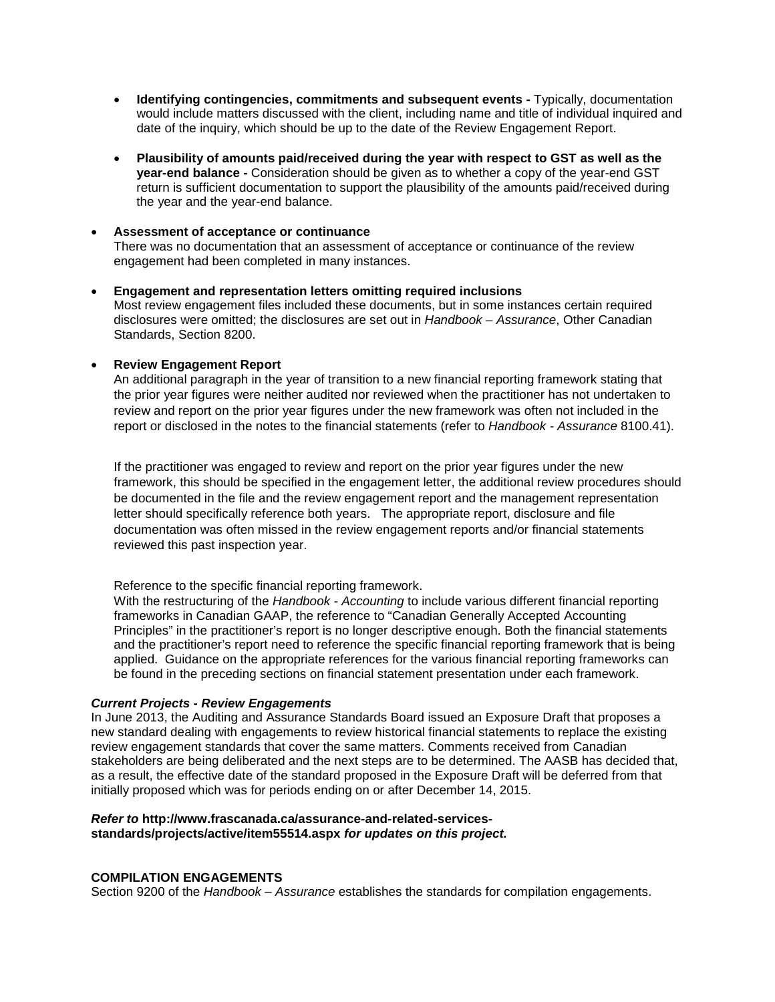- **Identifying contingencies, commitments and subsequent events -** Typically, documentation would include matters discussed with the client, including name and title of individual inquired and date of the inquiry, which should be up to the date of the Review Engagement Report.
- **Plausibility of amounts paid/received during the year with respect to GST as well as the year-end balance -** Consideration should be given as to whether a copy of the year-end GST return is sufficient documentation to support the plausibility of the amounts paid/received during the year and the year-end balance.

## • **Assessment of acceptance or continuance**

There was no documentation that an assessment of acceptance or continuance of the review engagement had been completed in many instances.

• **Engagement and representation letters omitting required inclusions** Most review engagement files included these documents, but in some instances certain required disclosures were omitted; the disclosures are set out in *Handbook – Assurance*, Other Canadian Standards, Section 8200.

## • **Review Engagement Report**

An additional paragraph in the year of transition to a new financial reporting framework stating that the prior year figures were neither audited nor reviewed when the practitioner has not undertaken to review and report on the prior year figures under the new framework was often not included in the report or disclosed in the notes to the financial statements (refer to *Handbook - Assurance* 8100.41).

If the practitioner was engaged to review and report on the prior year figures under the new framework, this should be specified in the engagement letter, the additional review procedures should be documented in the file and the review engagement report and the management representation letter should specifically reference both years. The appropriate report, disclosure and file documentation was often missed in the review engagement reports and/or financial statements reviewed this past inspection year.

Reference to the specific financial reporting framework.

With the restructuring of the *Handbook - Accounting* to include various different financial reporting frameworks in Canadian GAAP, the reference to "Canadian Generally Accepted Accounting Principles" in the practitioner's report is no longer descriptive enough. Both the financial statements and the practitioner's report need to reference the specific financial reporting framework that is being applied. Guidance on the appropriate references for the various financial reporting frameworks can be found in the preceding sections on financial statement presentation under each framework.

## *Current Projects - Review Engagements*

In June 2013, the Auditing and Assurance Standards Board issued an Exposure Draft that proposes a new standard dealing with engagements to review historical financial statements to replace the existing review engagement standards that cover the same matters. Comments received from Canadian stakeholders are being deliberated and the next steps are to be determined. The AASB has decided that, as a result, the effective date of the standard proposed in the Exposure Draft will be deferred from that initially proposed which was for periods ending on or after December 14, 2015.

#### *Refer to* **[http://www.frascanada.ca/assurance-and-related-services](http://www.frascanada.ca/assurance-and-related-services-standards/projects/active/item55514.aspx)[standards/projects/active/item55514.aspx](http://www.frascanada.ca/assurance-and-related-services-standards/projects/active/item55514.aspx)** *for updates on this project.*

# **COMPILATION ENGAGEMENTS**

Section 9200 of the *Handbook – Assurance* establishes the standards for compilation engagements.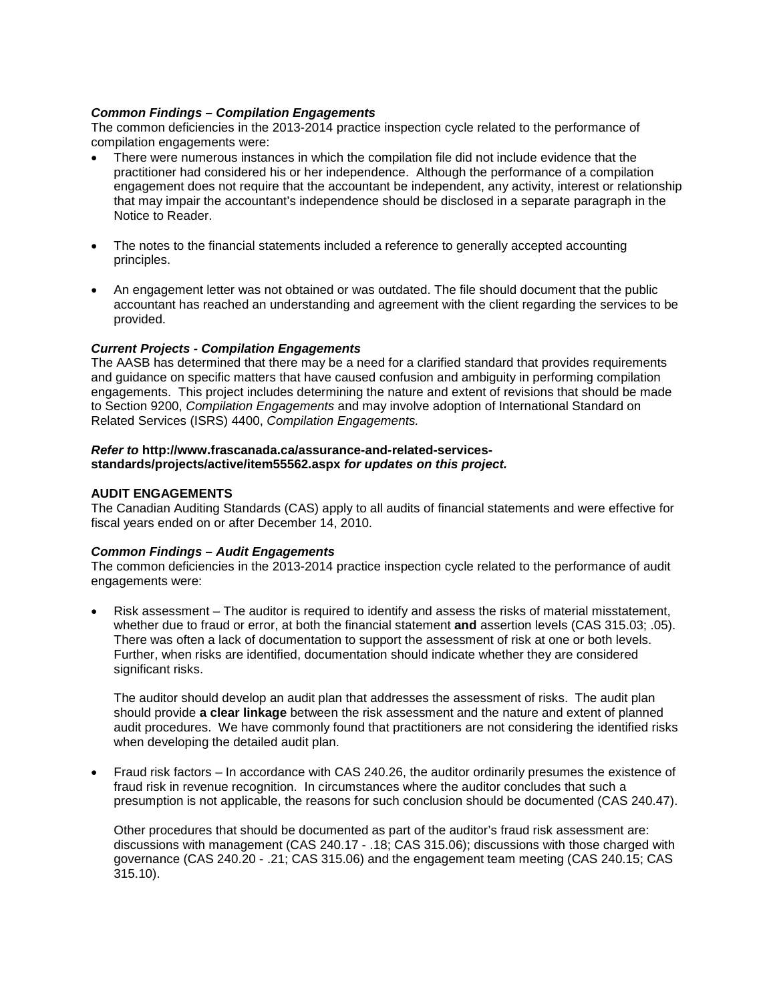## *Common Findings – Compilation Engagements*

The common deficiencies in the 2013-2014 practice inspection cycle related to the performance of compilation engagements were:

- There were numerous instances in which the compilation file did not include evidence that the practitioner had considered his or her independence. Although the performance of a compilation engagement does not require that the accountant be independent, any activity, interest or relationship that may impair the accountant's independence should be disclosed in a separate paragraph in the Notice to Reader.
- The notes to the financial statements included a reference to generally accepted accounting principles.
- An engagement letter was not obtained or was outdated. The file should document that the public accountant has reached an understanding and agreement with the client regarding the services to be provided.

## *Current Projects - Compilation Engagements*

The AASB has determined that there may be a need for a clarified standard that provides requirements and guidance on specific matters that have caused confusion and ambiguity in performing compilation engagements. This project includes determining the nature and extent of revisions that should be made to Section 9200, *Compilation Engagements* and may involve adoption of International Standard on Related Services (ISRS) 4400, *Compilation Engagements.*

#### *Refer to* **[http://www.frascanada.ca/assurance-and-related-services](http://www.frascanada.ca/assurance-and-related-services-standards/projects/active/item55562.aspx)[standards/projects/active/item55562.aspx](http://www.frascanada.ca/assurance-and-related-services-standards/projects/active/item55562.aspx)** *for updates on this project.*

## **AUDIT ENGAGEMENTS**

The Canadian Auditing Standards (CAS) apply to all audits of financial statements and were effective for fiscal years ended on or after December 14, 2010.

## *Common Findings – Audit Engagements*

The common deficiencies in the 2013-2014 practice inspection cycle related to the performance of audit engagements were:

• Risk assessment – The auditor is required to identify and assess the risks of material misstatement, whether due to fraud or error, at both the financial statement **and** assertion levels (CAS 315.03; .05). There was often a lack of documentation to support the assessment of risk at one or both levels. Further, when risks are identified, documentation should indicate whether they are considered significant risks.

The auditor should develop an audit plan that addresses the assessment of risks. The audit plan should provide **a clear linkage** between the risk assessment and the nature and extent of planned audit procedures. We have commonly found that practitioners are not considering the identified risks when developing the detailed audit plan.

• Fraud risk factors – In accordance with CAS 240.26, the auditor ordinarily presumes the existence of fraud risk in revenue recognition. In circumstances where the auditor concludes that such a presumption is not applicable, the reasons for such conclusion should be documented (CAS 240.47).

Other procedures that should be documented as part of the auditor's fraud risk assessment are: discussions with management (CAS 240.17 - .18; CAS 315.06); discussions with those charged with governance (CAS 240.20 - .21; CAS 315.06) and the engagement team meeting (CAS 240.15; CAS 315.10).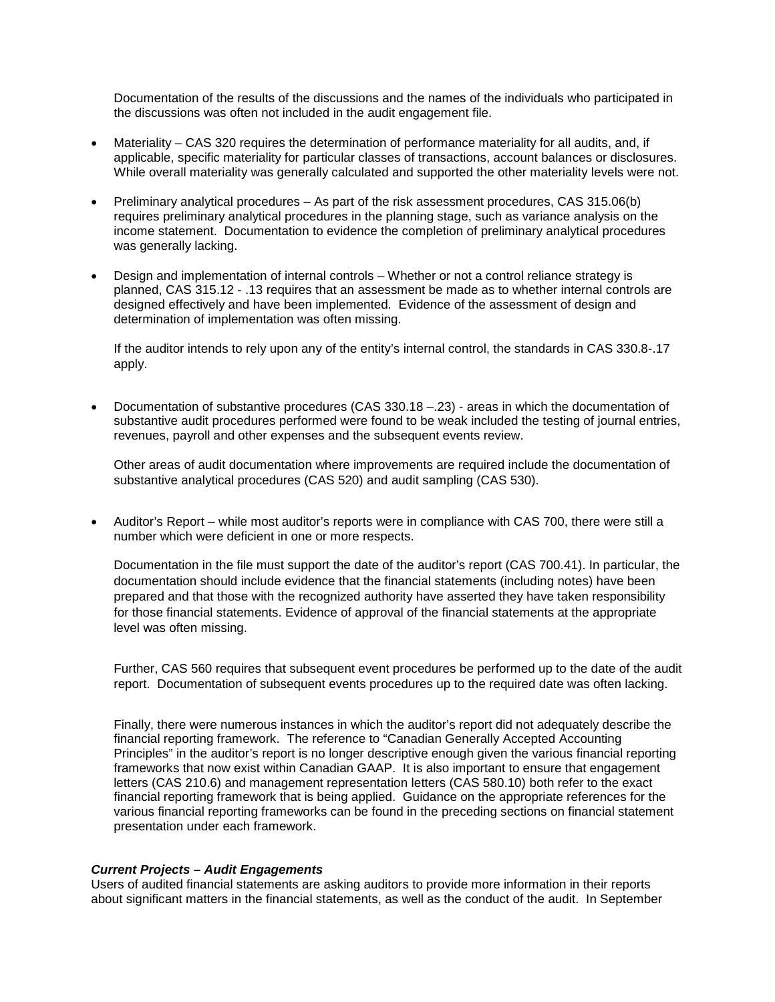Documentation of the results of the discussions and the names of the individuals who participated in the discussions was often not included in the audit engagement file.

- Materiality CAS 320 requires the determination of performance materiality for all audits, and, if applicable, specific materiality for particular classes of transactions, account balances or disclosures. While overall materiality was generally calculated and supported the other materiality levels were not.
- Preliminary analytical procedures As part of the risk assessment procedures, CAS 315.06(b) requires preliminary analytical procedures in the planning stage, such as variance analysis on the income statement. Documentation to evidence the completion of preliminary analytical procedures was generally lacking.
- Design and implementation of internal controls Whether or not a control reliance strategy is planned, CAS 315.12 - .13 requires that an assessment be made as to whether internal controls are designed effectively and have been implemented. Evidence of the assessment of design and determination of implementation was often missing.

If the auditor intends to rely upon any of the entity's internal control, the standards in CAS 330.8-.17 apply.

• Documentation of substantive procedures (CAS 330.18 –.23) - areas in which the documentation of substantive audit procedures performed were found to be weak included the testing of journal entries, revenues, payroll and other expenses and the subsequent events review.

Other areas of audit documentation where improvements are required include the documentation of substantive analytical procedures (CAS 520) and audit sampling (CAS 530).

• Auditor's Report – while most auditor's reports were in compliance with CAS 700, there were still a number which were deficient in one or more respects.

Documentation in the file must support the date of the auditor's report (CAS 700.41). In particular, the documentation should include evidence that the financial statements (including notes) have been prepared and that those with the recognized authority have asserted they have taken responsibility for those financial statements. Evidence of approval of the financial statements at the appropriate level was often missing.

Further, CAS 560 requires that subsequent event procedures be performed up to the date of the audit report. Documentation of subsequent events procedures up to the required date was often lacking.

Finally, there were numerous instances in which the auditor's report did not adequately describe the financial reporting framework. The reference to "Canadian Generally Accepted Accounting Principles" in the auditor's report is no longer descriptive enough given the various financial reporting frameworks that now exist within Canadian GAAP. It is also important to ensure that engagement letters (CAS 210.6) and management representation letters (CAS 580.10) both refer to the exact financial reporting framework that is being applied. Guidance on the appropriate references for the various financial reporting frameworks can be found in the preceding sections on financial statement presentation under each framework.

## *Current Projects – Audit Engagements*

Users of audited financial statements are asking auditors to provide more information in their reports about significant matters in the financial statements, as well as the conduct of the audit. In September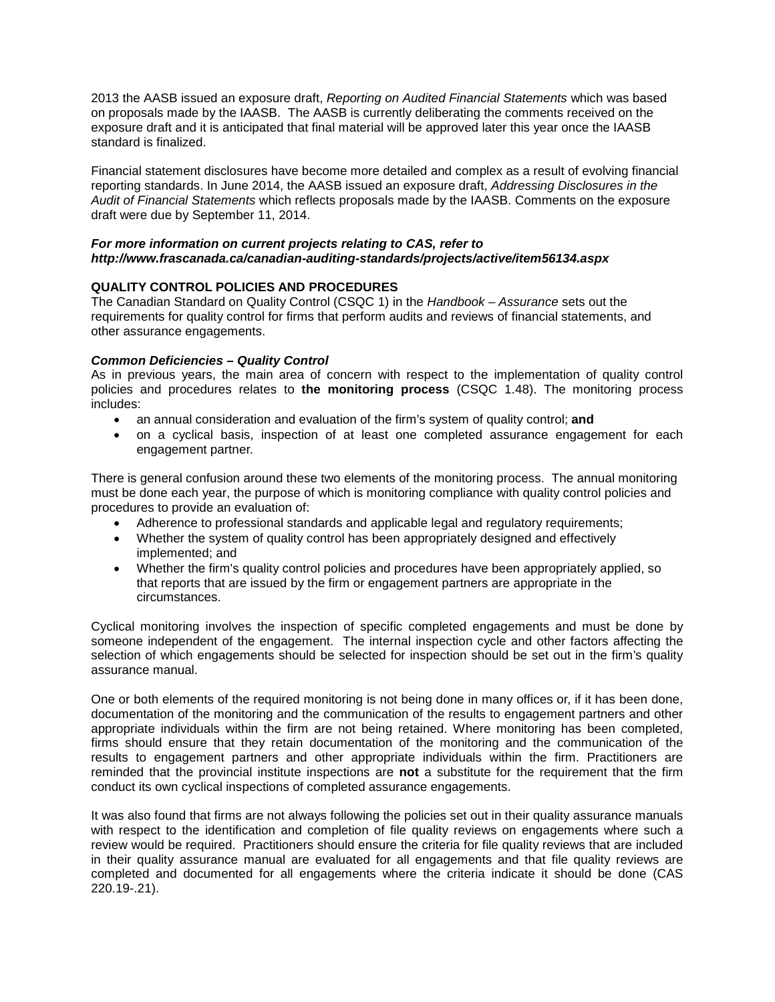2013 the AASB issued an exposure draft, *Reporting on Audited Financial Statements* which was based on proposals made by the IAASB. The AASB is currently deliberating the comments received on the exposure draft and it is anticipated that final material will be approved later this year once the IAASB standard is finalized.

Financial statement disclosures have become more detailed and complex as a result of evolving financial reporting standards. In June 2014, the AASB issued an exposure draft, *Addressing Disclosures in the Audit of Financial Statements* which reflects proposals made by the IAASB. Comments on the exposure draft were due by September 11, 2014.

## *For more information on current projects relating to CAS, refer to <http://www.frascanada.ca/canadian-auditing-standards/projects/active/item56134.aspx>*

## **QUALITY CONTROL POLICIES AND PROCEDURES**

The Canadian Standard on Quality Control (CSQC 1) in the *Handbook – Assurance* sets out the requirements for quality control for firms that perform audits and reviews of financial statements, and other assurance engagements.

## *Common Deficiencies – Quality Control*

As in previous years, the main area of concern with respect to the implementation of quality control policies and procedures relates to **the monitoring process** (CSQC 1.48). The monitoring process includes:

- an annual consideration and evaluation of the firm's system of quality control; **and**
- on a cyclical basis, inspection of at least one completed assurance engagement for each engagement partner.

There is general confusion around these two elements of the monitoring process. The annual monitoring must be done each year, the purpose of which is monitoring compliance with quality control policies and procedures to provide an evaluation of:

- Adherence to professional standards and applicable legal and regulatory requirements;
- Whether the system of quality control has been appropriately designed and effectively implemented; and
- Whether the firm's quality control policies and procedures have been appropriately applied, so that reports that are issued by the firm or engagement partners are appropriate in the circumstances.

Cyclical monitoring involves the inspection of specific completed engagements and must be done by someone independent of the engagement. The internal inspection cycle and other factors affecting the selection of which engagements should be selected for inspection should be set out in the firm's quality assurance manual.

One or both elements of the required monitoring is not being done in many offices or, if it has been done, documentation of the monitoring and the communication of the results to engagement partners and other appropriate individuals within the firm are not being retained. Where monitoring has been completed, firms should ensure that they retain documentation of the monitoring and the communication of the results to engagement partners and other appropriate individuals within the firm. Practitioners are reminded that the provincial institute inspections are **not** a substitute for the requirement that the firm conduct its own cyclical inspections of completed assurance engagements.

It was also found that firms are not always following the policies set out in their quality assurance manuals with respect to the identification and completion of file quality reviews on engagements where such a review would be required. Practitioners should ensure the criteria for file quality reviews that are included in their quality assurance manual are evaluated for all engagements and that file quality reviews are completed and documented for all engagements where the criteria indicate it should be done (CAS 220.19-.21).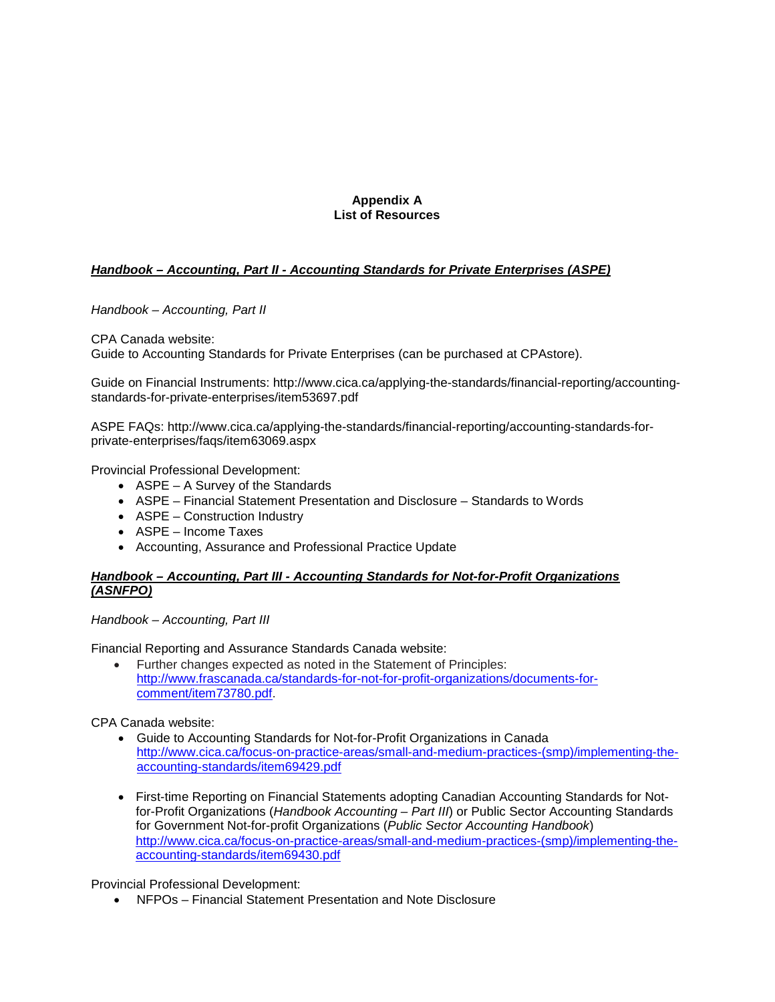## **Appendix A List of Resources**

# *Handbook – Accounting, Part II - Accounting Standards for Private Enterprises (ASPE)*

*Handbook – Accounting, Part II*

CPA Canada website: Guide to Accounting Standards for Private Enterprises (can be purchased at CPAstore).

Guide on Financial Instruments: [http://www.cica.ca/applying-the-standards/financial-reporting/accounting](http://www.cica.ca/applying-the-standards/financial-reporting/accounting-standards-for-private-enterprises/item53697.pdf)[standards-for-private-enterprises/item53697.pdf](http://www.cica.ca/applying-the-standards/financial-reporting/accounting-standards-for-private-enterprises/item53697.pdf)

ASPE FAQs: http://www.cica.ca/applying-the-standards/financial-reporting/accounting-standards-forprivate-enterprises/faqs/item63069.aspx

Provincial Professional Development:

- ASPE A Survey of the Standards
- ASPE Financial Statement Presentation and Disclosure Standards to Words
- ASPE Construction Industry
- ASPE Income Taxes
- Accounting, Assurance and Professional Practice Update

## *Handbook – Accounting, Part III - Accounting Standards for Not-for-Profit Organizations (ASNFPO)*

*Handbook – Accounting, Part III*

Financial Reporting and Assurance Standards Canada website:

• Further changes expected as noted in the Statement of Principles: [http://www.frascanada.ca/standards-for-not-for-profit-organizations/documents-for](http://www.frascanada.ca/standards-for-not-for-profit-organizations/documents-for-comment/item73780.pdf)[comment/item73780.pdf.](http://www.frascanada.ca/standards-for-not-for-profit-organizations/documents-for-comment/item73780.pdf)

CPA Canada website:

- Guide to Accounting Standards for Not-for-Profit Organizations in Canada [http://www.cica.ca/focus-on-practice-areas/small-and-medium-practices-\(smp\)/implementing-the](http://www.cica.ca/focus-on-practice-areas/small-and-medium-practices-(smp)/implementing-the-accounting-standards/item69429.pdf)[accounting-standards/item69429.pdf](http://www.cica.ca/focus-on-practice-areas/small-and-medium-practices-(smp)/implementing-the-accounting-standards/item69429.pdf)
- First-time Reporting on Financial Statements adopting Canadian Accounting Standards for Notfor-Profit Organizations (*Handbook Accounting – Part III*) or Public Sector Accounting Standards for Government Not-for-profit Organizations (*Public Sector Accounting Handbook*) [http://www.cica.ca/focus-on-practice-areas/small-and-medium-practices-\(smp\)/implementing-the](http://www.cica.ca/focus-on-practice-areas/small-and-medium-practices-(smp)/implementing-the-accounting-standards/item69430.pdf)[accounting-standards/item69430.pdf](http://www.cica.ca/focus-on-practice-areas/small-and-medium-practices-(smp)/implementing-the-accounting-standards/item69430.pdf)

Provincial Professional Development:

• NFPOs – Financial Statement Presentation and Note Disclosure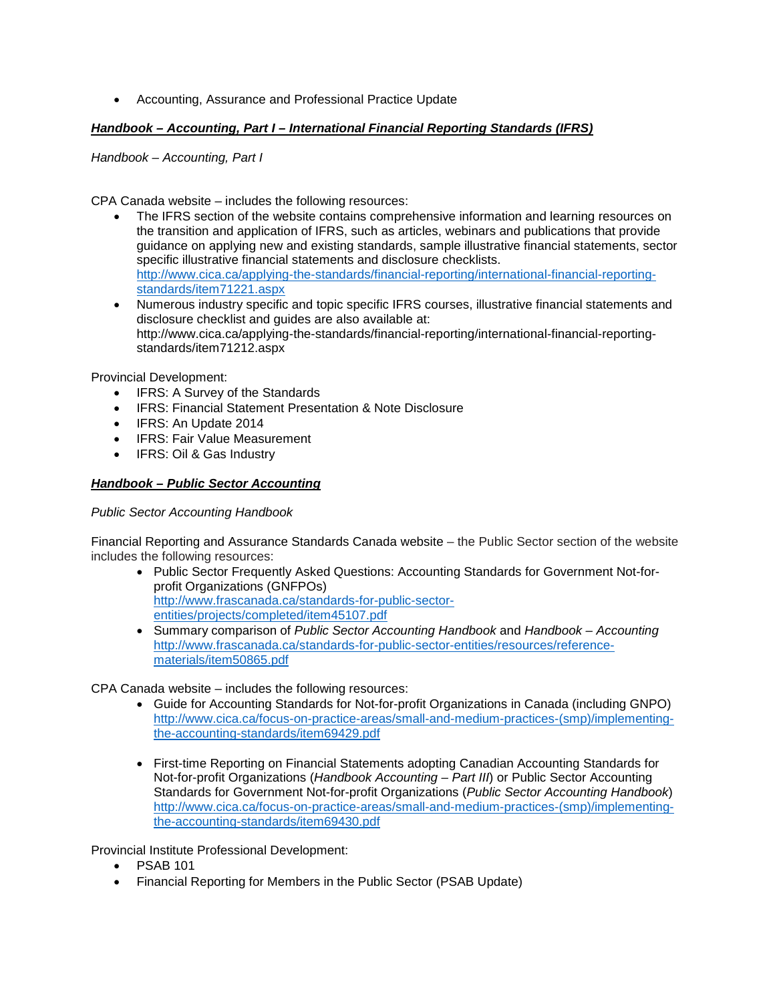• Accounting, Assurance and Professional Practice Update

# *Handbook – Accounting, Part I – International Financial Reporting Standards (IFRS)*

*Handbook – Accounting, Part I*

CPA Canada website – includes the following resources:

- The IFRS section of the website contains comprehensive information and learning resources on the transition and application of IFRS, such as articles, webinars and publications that provide guidance on applying new and existing standards, sample illustrative financial statements, sector specific illustrative financial statements and disclosure checklists. [http://www.cica.ca/applying-the-standards/financial-reporting/international-financial-reporting](http://www.cica.ca/applying-the-standards/financial-reporting/international-financial-reporting-standards/item71221.aspx)[standards/item71221.aspx](http://www.cica.ca/applying-the-standards/financial-reporting/international-financial-reporting-standards/item71221.aspx)
- Numerous industry specific and topic specific IFRS courses, illustrative financial statements and disclosure checklist and guides are also available at: [http://www.cica.ca/applying-the-standards/financial-reporting/international-financial-reporting](http://www.cica.ca/applying-the-standards/financial-reporting/international-financial-reporting-standards/item71212.aspx)[standards/item71212.aspx](http://www.cica.ca/applying-the-standards/financial-reporting/international-financial-reporting-standards/item71212.aspx)

Provincial Development:

- IFRS: A Survey of the Standards
- IFRS: Financial Statement Presentation & Note Disclosure
- IFRS: An Update 2014
- IFRS: Fair Value Measurement
- IFRS: Oil & Gas Industry

## *Handbook – Public Sector Accounting*

## *Public Sector Accounting Handbook*

Financial Reporting and Assurance Standards Canada website – the Public Sector section of the website includes the following resources:

- Public Sector Frequently Asked Questions: Accounting Standards for Government Not-forprofit Organizations (GNFPOs) [http://www.frascanada.ca/standards-for-public-sector](http://www.frascanada.ca/standards-for-public-sector-entities/projects/completed/item45107.pdf)[entities/projects/completed/item45107.pdf](http://www.frascanada.ca/standards-for-public-sector-entities/projects/completed/item45107.pdf)
- Summary comparison of *Public Sector Accounting Handbook* and *Handbook – Accounting* [http://www.frascanada.ca/standards-for-public-sector-entities/resources/reference](http://www.frascanada.ca/standards-for-public-sector-entities/resources/reference-materials/item50865.pdf)[materials/item50865.pdf](http://www.frascanada.ca/standards-for-public-sector-entities/resources/reference-materials/item50865.pdf)

CPA Canada website – includes the following resources:

- Guide for Accounting Standards for Not-for-profit Organizations in Canada (including GNPO) [http://www.cica.ca/focus-on-practice-areas/small-and-medium-practices-\(smp\)/implementing](http://www.cica.ca/focus-on-practice-areas/small-and-medium-practices-(smp)/implementing-the-accounting-standards/item69429.pdf)[the-accounting-standards/item69429.pdf](http://www.cica.ca/focus-on-practice-areas/small-and-medium-practices-(smp)/implementing-the-accounting-standards/item69429.pdf)
- First-time Reporting on Financial Statements adopting Canadian Accounting Standards for Not-for-profit Organizations (*Handbook Accounting – Part III*) or Public Sector Accounting Standards for Government Not-for-profit Organizations (*Public Sector Accounting Handbook*) [http://www.cica.ca/focus-on-practice-areas/small-and-medium-practices-\(smp\)/implementing](http://www.cica.ca/focus-on-practice-areas/small-and-medium-practices-(smp)/implementing-the-accounting-standards/item69430.pdf)[the-accounting-standards/item69430.pdf](http://www.cica.ca/focus-on-practice-areas/small-and-medium-practices-(smp)/implementing-the-accounting-standards/item69430.pdf)

Provincial Institute Professional Development:

- PSAB 101
- Financial Reporting for Members in the Public Sector (PSAB Update)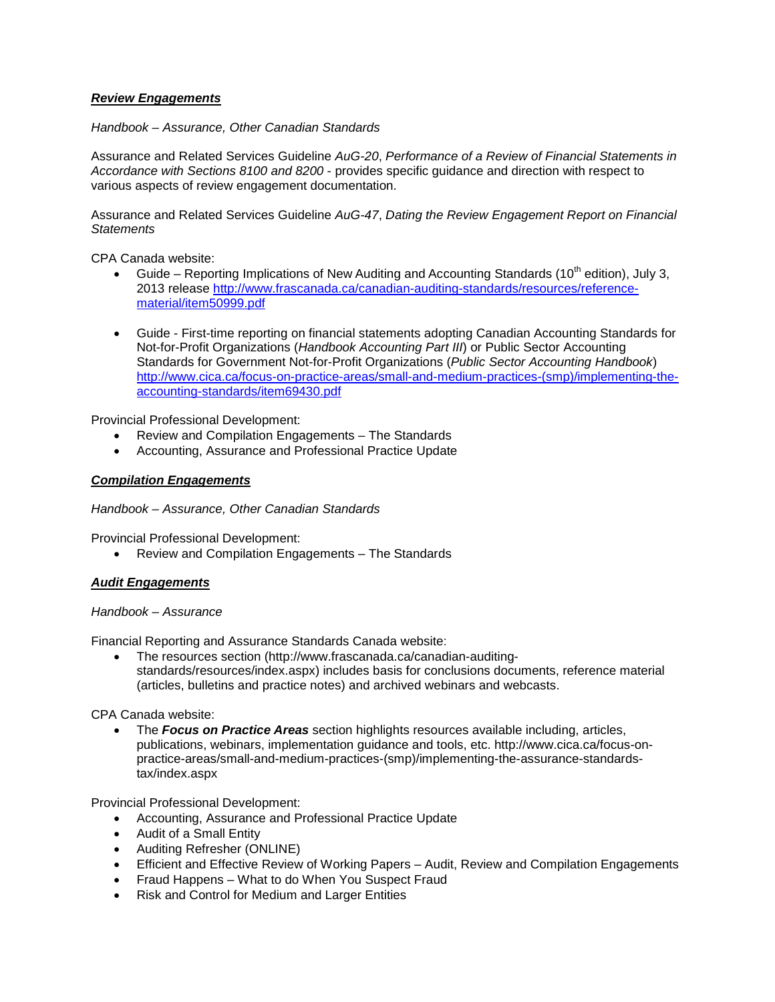# *Review Engagements*

## *Handbook – Assurance, Other Canadian Standards*

Assurance and Related Services Guideline *AuG-20*, *Performance of a Review of Financial Statements in Accordance with Sections 8100 and 8200* - provides specific guidance and direction with respect to various aspects of review engagement documentation.

Assurance and Related Services Guideline *AuG-47*, *Dating the Review Engagement Report on Financial Statements*

CPA Canada website:

- Guide Reporting Implications of New Auditing and Accounting Standards (10<sup>th</sup> edition), July 3, 2013 release [http://www.frascanada.ca/canadian-auditing-standards/resources/reference](http://www.frascanada.ca/canadian-auditing-standards/resources/reference-material/item50999.pdf)[material/item50999.pdf](http://www.frascanada.ca/canadian-auditing-standards/resources/reference-material/item50999.pdf)
- Guide First-time reporting on financial statements adopting Canadian Accounting Standards for Not-for-Profit Organizations (*Handbook Accounting Part III*) or Public Sector Accounting Standards for Government Not-for-Profit Organizations (*Public Sector Accounting Handbook*) [http://www.cica.ca/focus-on-practice-areas/small-and-medium-practices-\(smp\)/implementing-the](http://www.cica.ca/focus-on-practice-areas/small-and-medium-practices-(smp)/implementing-the-accounting-standards/item69430.pdf)[accounting-standards/item69430.pdf](http://www.cica.ca/focus-on-practice-areas/small-and-medium-practices-(smp)/implementing-the-accounting-standards/item69430.pdf)

Provincial Professional Development:

- Review and Compilation Engagements The Standards
- Accounting, Assurance and Professional Practice Update

## *Compilation Engagements*

*Handbook – Assurance, Other Canadian Standards* 

Provincial Professional Development:

• Review and Compilation Engagements – The Standards

## *Audit Engagements*

## *Handbook – Assurance*

Financial Reporting and Assurance Standards Canada website:

• The resources section [\(http://www.frascanada.ca/canadian-auditing](http://www.frascanada.ca/canadian-auditing-standards/resources/index.aspx)[standards/resources/index.aspx\)](http://www.frascanada.ca/canadian-auditing-standards/resources/index.aspx) includes basis for conclusions documents, reference material (articles, bulletins and practice notes) and archived webinars and webcasts.

CPA Canada website:

• The *Focus on Practice Areas* section highlights resources available including, articles, publications, webinars, implementation guidance and tools, etc. [http://www.cica.ca/focus-on](http://www.cica.ca/focus-on-practice-areas/small-and-medium-practices-(smp)/implementing-the-assurance-standards-tax/index.aspx)[practice-areas/small-and-medium-practices-\(smp\)/implementing-the-assurance-standards](http://www.cica.ca/focus-on-practice-areas/small-and-medium-practices-(smp)/implementing-the-assurance-standards-tax/index.aspx)[tax/index.aspx](http://www.cica.ca/focus-on-practice-areas/small-and-medium-practices-(smp)/implementing-the-assurance-standards-tax/index.aspx)

Provincial Professional Development:

- Accounting, Assurance and Professional Practice Update
- Audit of a Small Entity
- Auditing Refresher (ONLINE)
- Efficient and Effective Review of Working Papers Audit, Review and Compilation Engagements
- Fraud Happens What to do When You Suspect Fraud
- Risk and Control for Medium and Larger Entities